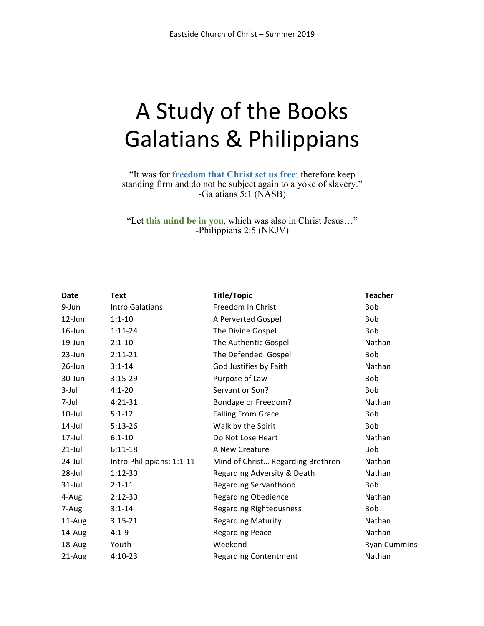# A Study of the Books Galatians & Philippians

"It was for **freedom that Christ set us free**; therefore keep standing firm and do not be subject again to a yoke of slavery." -Galatians 5:1 (NASB)

"Let **this mind be in you**, which was also in Christ Jesus…" -Philippians 2:5 (NKJV)

| <b>Date</b> | <b>Text</b>               | <b>Title/Topic</b>                | <b>Teacher</b>      |
|-------------|---------------------------|-----------------------------------|---------------------|
| 9-Jun       | Intro Galatians           | Freedom In Christ                 | <b>Bob</b>          |
| $12$ -Jun   | $1:1 - 10$                | A Perverted Gospel                | <b>Bob</b>          |
| $16$ -Jun   | $1:11-24$                 | The Divine Gospel                 | Bob                 |
| $19$ -Jun   | $2:1 - 10$                | The Authentic Gospel              | Nathan              |
| $23$ -Jun   | $2:11-21$                 | The Defended Gospel               | Bob                 |
| $26$ -Jun   | $3:1 - 14$                | God Justifies by Faith            | Nathan              |
| 30-Jun      | $3:15-29$                 | Purpose of Law                    | Bob                 |
| $3$ -Jul    | $4:1 - 20$                | Servant or Son?                   | Bob                 |
| 7-Jul       | $4:21 - 31$               | <b>Bondage or Freedom?</b>        | Nathan              |
| $10$ -Jul   | $5:1 - 12$                | <b>Falling From Grace</b>         | Bob                 |
| $14$ -Jul   | $5:13-26$                 | Walk by the Spirit                | Bob                 |
| $17$ -Jul   | $6:1 - 10$                | Do Not Lose Heart                 | Nathan              |
| $21$ -Jul   | $6:11-18$                 | A New Creature                    | Bob                 |
| 24-Jul      | Intro Philippians; 1:1-11 | Mind of Christ Regarding Brethren | Nathan              |
| $28 -$ Jul  | $1:12-30$                 | Regarding Adversity & Death       | Nathan              |
| $31$ -Jul   | $2:1 - 11$                | <b>Regarding Servanthood</b>      | <b>Bob</b>          |
| 4-Aug       | $2:12-30$                 | <b>Regarding Obedience</b>        | Nathan              |
| 7-Aug       | $3:1 - 14$                | <b>Regarding Righteousness</b>    | <b>Bob</b>          |
| 11-Aug      | $3:15-21$                 | <b>Regarding Maturity</b>         | Nathan              |
| 14-Aug      | $4:1 - 9$                 | <b>Regarding Peace</b>            | Nathan              |
| 18-Aug      | Youth                     | Weekend                           | <b>Ryan Cummins</b> |
| 21-Aug      | $4:10-23$                 | <b>Regarding Contentment</b>      | Nathan              |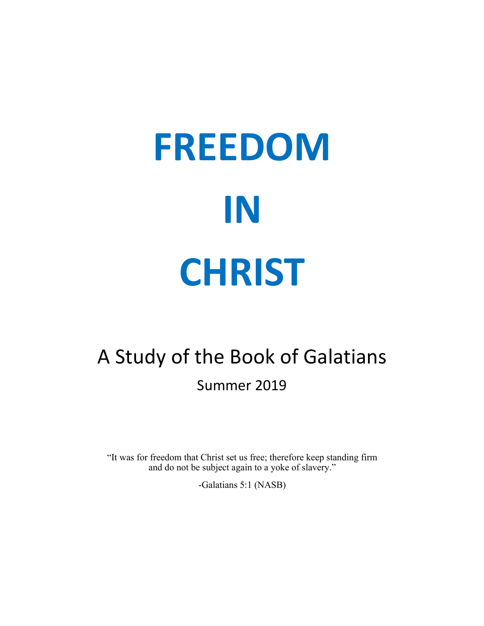# **FREEDOM IN CHRIST**

# A Study of the Book of Galatians Summer 2019

"It was for freedom that Christ set us free; therefore keep standing firm and do not be subject again to a yoke of slavery."

-Galatians 5:1 (NASB)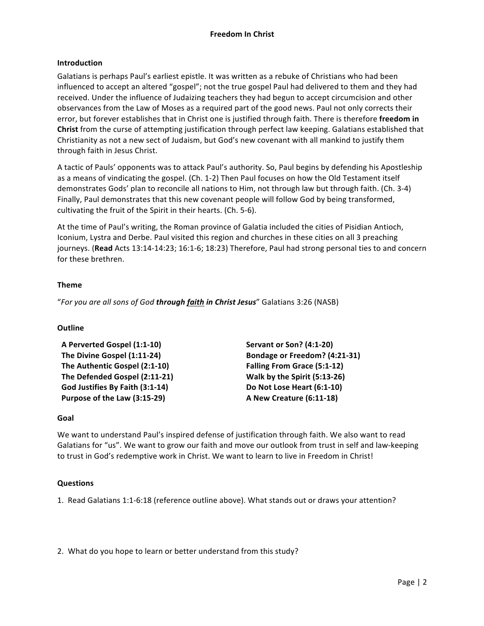# **Freedom In Christ**

# **Introduction**

Galatians is perhaps Paul's earliest epistle. It was written as a rebuke of Christians who had been influenced to accept an altered "gospel"; not the true gospel Paul had delivered to them and they had received. Under the influence of Judaizing teachers they had begun to accept circumcision and other observances from the Law of Moses as a required part of the good news. Paul not only corrects their error, but forever establishes that in Christ one is justified through faith. There is therefore **freedom in Christ** from the curse of attempting justification through perfect law keeping. Galatians established that Christianity as not a new sect of Judaism, but God's new covenant with all mankind to justify them through faith in Jesus Christ.

A tactic of Pauls' opponents was to attack Paul's authority. So, Paul begins by defending his Apostleship as a means of vindicating the gospel. (Ch. 1-2) Then Paul focuses on how the Old Testament itself demonstrates Gods' plan to reconcile all nations to Him, not through law but through faith. (Ch. 3-4) Finally, Paul demonstrates that this new covenant people will follow God by being transformed, cultivating the fruit of the Spirit in their hearts. (Ch. 5-6).

At the time of Paul's writing, the Roman province of Galatia included the cities of Pisidian Antioch, Iconium, Lystra and Derbe. Paul visited this region and churches in these cities on all 3 preaching journeys. (Read Acts 13:14-14:23; 16:1-6; 18:23) Therefore, Paul had strong personal ties to and concern for these brethren.

# **Theme**

"For you are all sons of God **through faith in Christ Jesus**" Galatians 3:26 (NASB)

# **Outline**

| A Perverted Gospel (1:1-10)     | <b>Servant or Son? (4:1-20)</b>    |  |
|---------------------------------|------------------------------------|--|
| The Divine Gospel (1:11-24)     | Bondage or Freedom? (4:21-31)      |  |
| The Authentic Gospel (2:1-10)   | <b>Falling From Grace (5:1-12)</b> |  |
| The Defended Gospel (2:11-21)   | Walk by the Spirit (5:13-26)       |  |
| God Justifies By Faith (3:1-14) | Do Not Lose Heart (6:1-10)         |  |
| Purpose of the Law (3:15-29)    | A New Creature (6:11-18)           |  |

### **Goal**

We want to understand Paul's inspired defense of justification through faith. We also want to read Galatians for "us". We want to grow our faith and move our outlook from trust in self and law-keeping to trust in God's redemptive work in Christ. We want to learn to live in Freedom in Christ!

### **Questions**

1. Read Galatians 1:1-6:18 (reference outline above). What stands out or draws your attention?

2. What do you hope to learn or better understand from this study?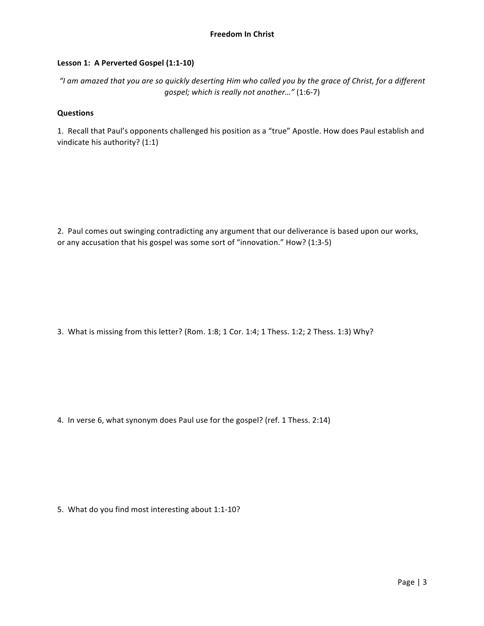# Lesson 1: A Perverted Gospel (1:1-10)

"I am amazed that you are so quickly deserting Him who called you by the grace of Christ, for a different gospel; which is really not another..." (1:6-7)

# **Questions**

1. Recall that Paul's opponents challenged his position as a "true" Apostle. How does Paul establish and vindicate his authority? (1:1)

2. Paul comes out swinging contradicting any argument that our deliverance is based upon our works, or any accusation that his gospel was some sort of "innovation." How? (1:3-5)

3. What is missing from this letter? (Rom. 1:8; 1 Cor. 1:4; 1 Thess. 1:2; 2 Thess. 1:3) Why?

4. In verse 6, what synonym does Paul use for the gospel? (ref. 1 Thess. 2:14)

5. What do you find most interesting about 1:1-10?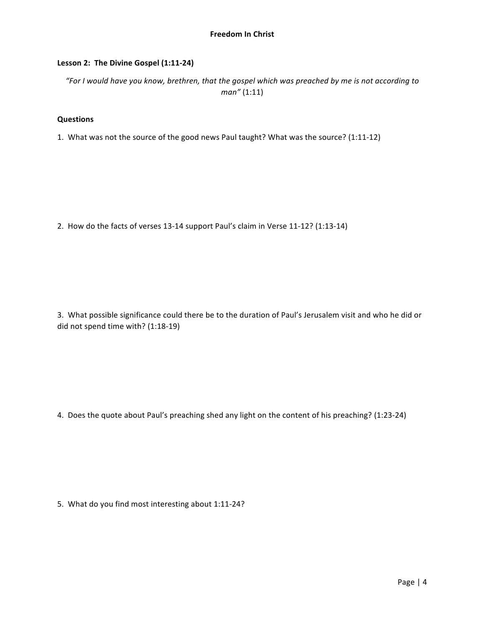# Lesson 2: The Divine Gospel (1:11-24)

*"For I* would have you know, brethren, that the gospel which was preached by me is not according to *man"* (1:11)

# **Questions**

1. What was not the source of the good news Paul taught? What was the source? (1:11-12)

2. How do the facts of verses 13-14 support Paul's claim in Verse 11-12? (1:13-14)

3. What possible significance could there be to the duration of Paul's Jerusalem visit and who he did or did not spend time with? (1:18-19)

4. Does the quote about Paul's preaching shed any light on the content of his preaching? (1:23-24)

5. What do you find most interesting about 1:11-24?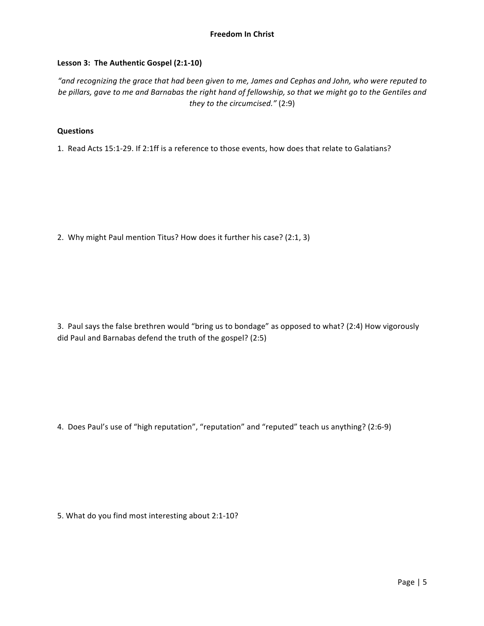# Lesson 3: The Authentic Gospel (2:1-10)

*"and recognizing the grace that had been given to me, James and Cephas and John, who were reputed to*  be pillars, gave to me and Barnabas the right hand of fellowship, so that we might go to the Gentiles and *they to the circumcised."* (2:9)

# **Questions**

1. Read Acts 15:1-29. If 2:1ff is a reference to those events, how does that relate to Galatians?

2. Why might Paul mention Titus? How does it further his case? (2:1, 3)

3. Paul says the false brethren would "bring us to bondage" as opposed to what? (2:4) How vigorously did Paul and Barnabas defend the truth of the gospel? (2:5)

4. Does Paul's use of "high reputation", "reputation" and "reputed" teach us anything? (2:6-9)

5. What do you find most interesting about 2:1-10?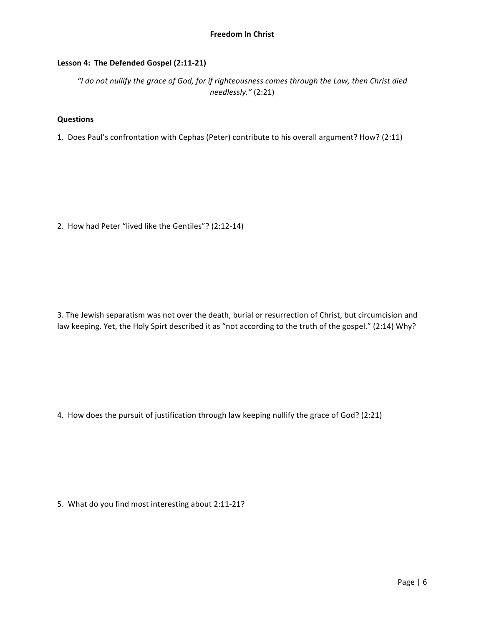# Lesson 4: The Defended Gospel (2:11-21)

"I do not nullify the grace of God, for if righteousness comes through the Law, then Christ died *needlessly."* (2:21)

### **Questions**

1. Does Paul's confrontation with Cephas (Peter) contribute to his overall argument? How? (2:11)

2. How had Peter "lived like the Gentiles"? (2:12-14)

3. The Jewish separatism was not over the death, burial or resurrection of Christ, but circumcision and law keeping. Yet, the Holy Spirt described it as "not according to the truth of the gospel." (2:14) Why?

4. How does the pursuit of justification through law keeping nullify the grace of God? (2:21)

5. What do you find most interesting about 2:11-21?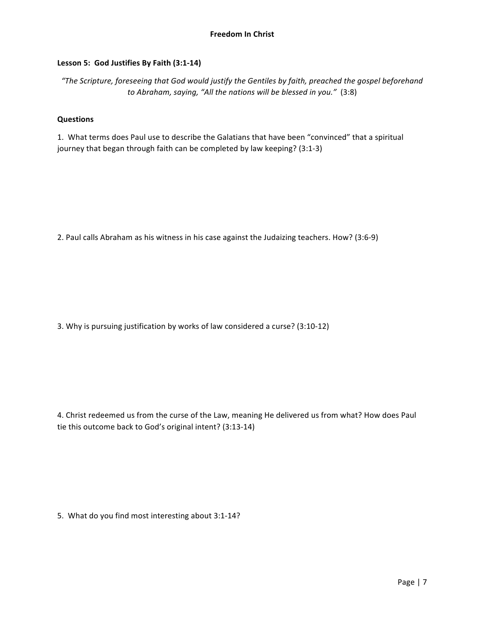# Lesson 5: God Justifies By Faith (3:1-14)

*"The Scripture, foreseeing that God would justify the Gentiles by faith, preached the gospel beforehand to* Abraham, saying, "All the nations will be blessed in you." (3:8)

### **Questions**

1. What terms does Paul use to describe the Galatians that have been "convinced" that a spiritual journey that began through faith can be completed by law keeping? (3:1-3)

2. Paul calls Abraham as his witness in his case against the Judaizing teachers. How? (3:6-9)

3. Why is pursuing justification by works of law considered a curse? (3:10-12)

4. Christ redeemed us from the curse of the Law, meaning He delivered us from what? How does Paul tie this outcome back to God's original intent? (3:13-14)

5. What do you find most interesting about 3:1-14?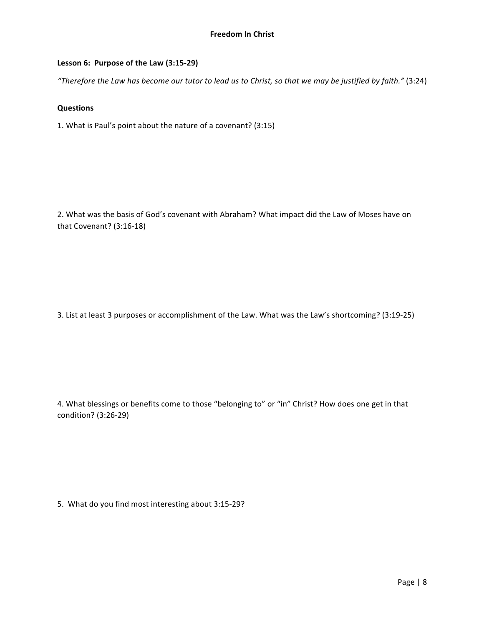# Lesson 6: Purpose of the Law (3:15-29)

"Therefore the Law has become our tutor to lead us to Christ, so that we may be justified by faith." (3:24)

### **Questions**

1. What is Paul's point about the nature of a covenant? (3:15)

2. What was the basis of God's covenant with Abraham? What impact did the Law of Moses have on that Covenant? (3:16-18)

3. List at least 3 purposes or accomplishment of the Law. What was the Law's shortcoming? (3:19-25)

4. What blessings or benefits come to those "belonging to" or "in" Christ? How does one get in that condition? (3:26-29)

5. What do you find most interesting about 3:15-29?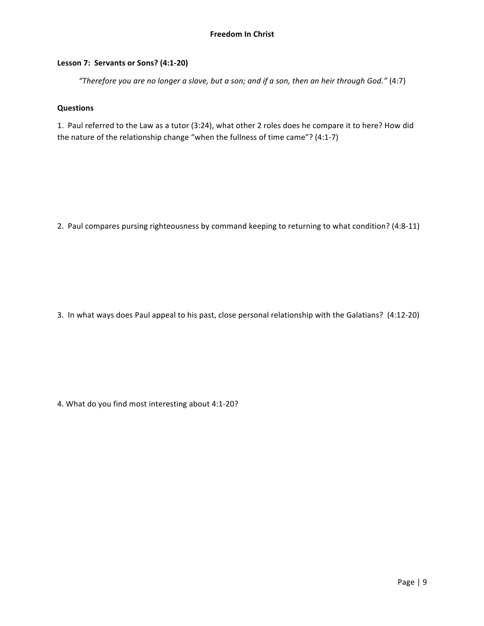# **Lesson 7: Servants or Sons? (4:1-20)**

"Therefore you are no longer a slave, but a son; and if a son, then an heir through God." (4:7)

### **Questions**

1. Paul referred to the Law as a tutor (3:24), what other 2 roles does he compare it to here? How did the nature of the relationship change "when the fullness of time came"?  $(4:1-7)$ 

2. Paul compares pursing righteousness by command keeping to returning to what condition? (4:8-11)

3. In what ways does Paul appeal to his past, close personal relationship with the Galatians? (4:12-20)

4. What do you find most interesting about 4:1-20?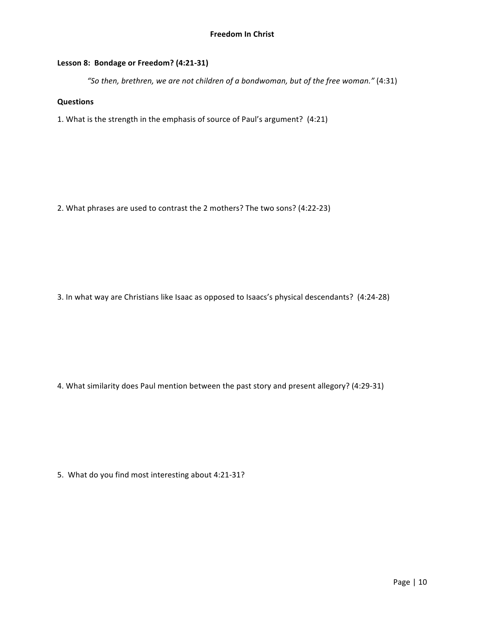# Lesson 8: Bondage or Freedom? (4:21-31)

"So then, brethren, we are not children of a bondwoman, but of the free woman." (4:31)

# **Questions**

1. What is the strength in the emphasis of source of Paul's argument? (4:21)

2. What phrases are used to contrast the 2 mothers? The two sons? (4:22-23)

3. In what way are Christians like Isaac as opposed to Isaacs's physical descendants? (4:24-28)

4. What similarity does Paul mention between the past story and present allegory? (4:29-31)

5. What do you find most interesting about 4:21-31?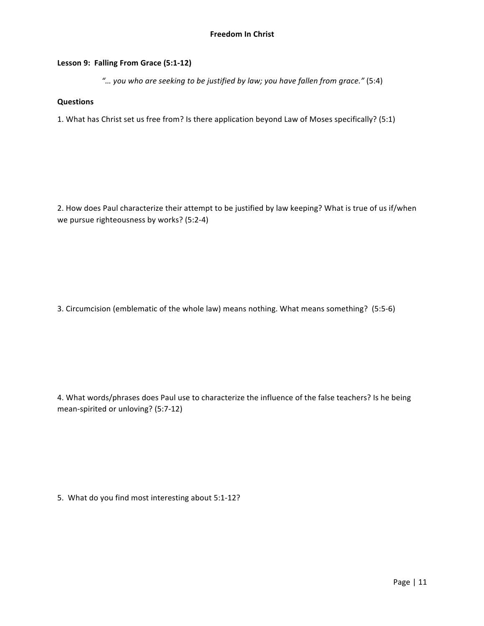# Lesson 9: Falling From Grace (5:1-12)

*"… you who are seeking to be justified by law; you have fallen from grace."* (5:4)

### **Questions**

1. What has Christ set us free from? Is there application beyond Law of Moses specifically? (5:1)

2. How does Paul characterize their attempt to be justified by law keeping? What is true of us if/when we pursue righteousness by works? (5:2-4)

3. Circumcision (emblematic of the whole law) means nothing. What means something? (5:5-6)

4. What words/phrases does Paul use to characterize the influence of the false teachers? Is he being mean-spirited or unloving? (5:7-12)

5. What do you find most interesting about 5:1-12?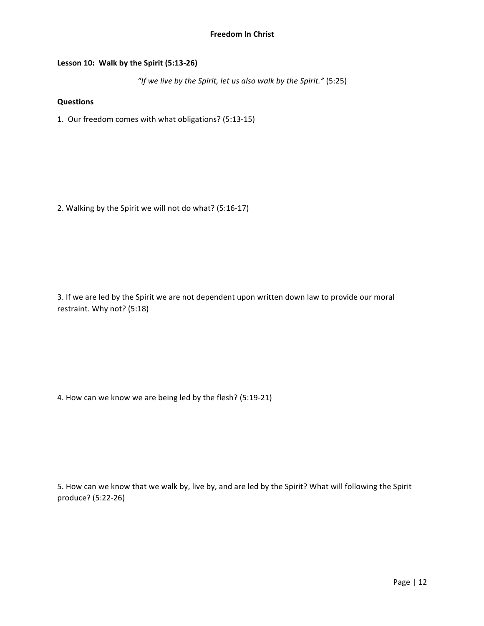# **Freedom In Christ**

# Lesson 10: Walk by the Spirit (5:13-26)

"If we live by the Spirit, let us also walk by the Spirit." (5:25)

# **Questions**

1. Our freedom comes with what obligations? (5:13-15)

2. Walking by the Spirit we will not do what? (5:16-17)

3. If we are led by the Spirit we are not dependent upon written down law to provide our moral restraint. Why not? (5:18)

4. How can we know we are being led by the flesh? (5:19-21)

5. How can we know that we walk by, live by, and are led by the Spirit? What will following the Spirit produce? (5:22-26)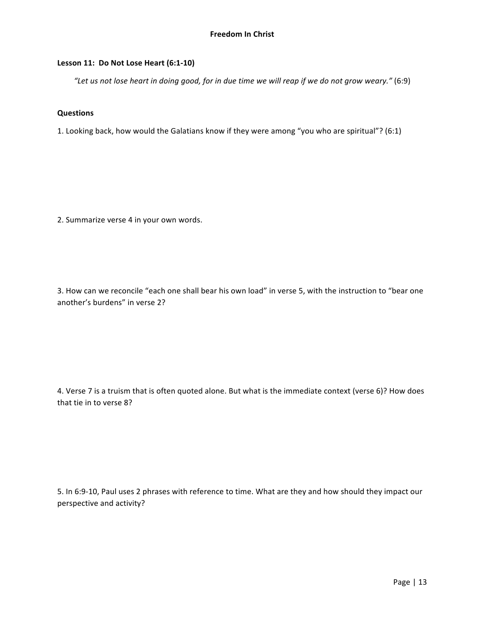# Lesson 11: Do Not Lose Heart (6:1-10)

"Let us not lose heart in doing good, for in due time we will reap if we do not grow weary." (6:9)

# **Questions**

1. Looking back, how would the Galatians know if they were among "you who are spiritual"? (6:1)

2. Summarize verse 4 in your own words.

3. How can we reconcile "each one shall bear his own load" in verse 5, with the instruction to "bear one another's burdens" in verse 2?

4. Verse 7 is a truism that is often quoted alone. But what is the immediate context (verse 6)? How does that tie in to verse 8?

5. In 6:9-10, Paul uses 2 phrases with reference to time. What are they and how should they impact our perspective and activity?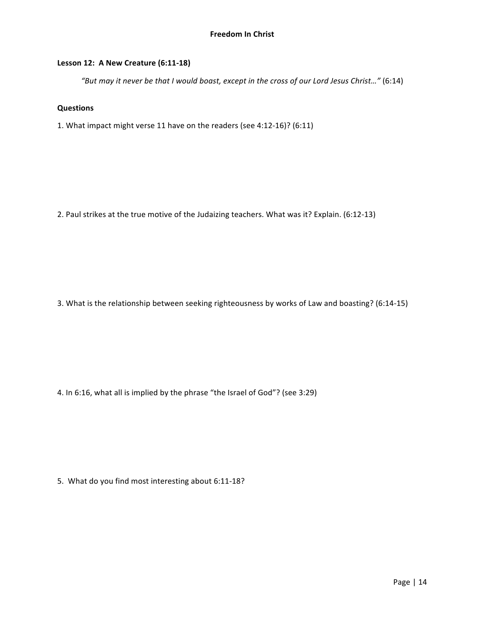# **Lesson 12: A New Creature (6:11-18)**

"But may it never be that I would boast, except in the cross of our Lord Jesus Christ..." (6:14)

## **Questions**

1. What impact might verse 11 have on the readers (see 4:12-16)? (6:11)

2. Paul strikes at the true motive of the Judaizing teachers. What was it? Explain. (6:12-13)

3. What is the relationship between seeking righteousness by works of Law and boasting? (6:14-15)

4. In 6:16, what all is implied by the phrase "the Israel of God"? (see 3:29)

5. What do you find most interesting about 6:11-18?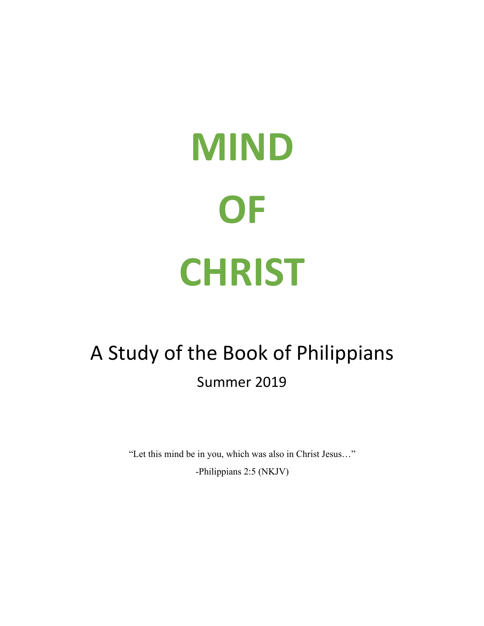# **MIND OF CHRIST**

# A Study of the Book of Philippians Summer 2019

"Let this mind be in you, which was also in Christ Jesus…"

-Philippians 2:5 (NKJV)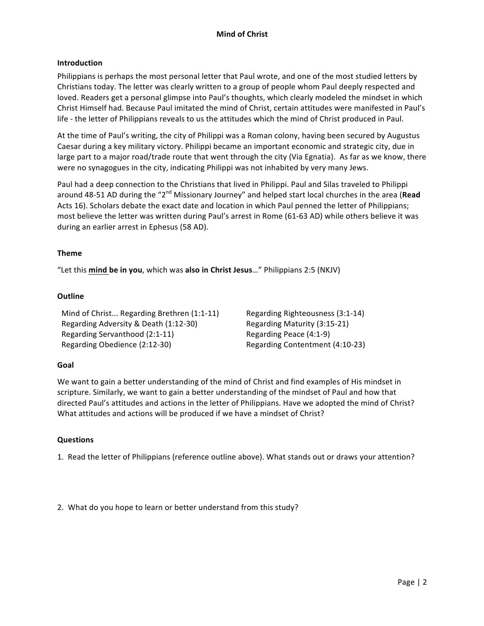# **Introduction**

Philippians is perhaps the most personal letter that Paul wrote, and one of the most studied letters by Christians today. The letter was clearly written to a group of people whom Paul deeply respected and loved. Readers get a personal glimpse into Paul's thoughts, which clearly modeled the mindset in which Christ Himself had. Because Paul imitated the mind of Christ, certain attitudes were manifested in Paul's life - the letter of Philippians reveals to us the attitudes which the mind of Christ produced in Paul.

At the time of Paul's writing, the city of Philippi was a Roman colony, having been secured by Augustus Caesar during a key military victory. Philippi became an important economic and strategic city, due in large part to a major road/trade route that went through the city (Via Egnatia). As far as we know, there were no synagogues in the city, indicating Philippi was not inhabited by very many Jews.

Paul had a deep connection to the Christians that lived in Philippi. Paul and Silas traveled to Philippi around 48-51 AD during the "2<sup>nd</sup> Missionary Journey" and helped start local churches in the area (Read Acts 16). Scholars debate the exact date and location in which Paul penned the letter of Philippians; most believe the letter was written during Paul's arrest in Rome (61-63 AD) while others believe it was during an earlier arrest in Ephesus (58 AD).

### **Theme**

"Let this mind be in you, which was also in Christ Jesus..." Philippians 2:5 (NKJV)

### **Outline**

Mind of Christ... Regarding Brethren (1:1-11) Regarding Righteousness (3:1-14) Regarding Adversity & Death (1:12-30) Regarding Maturity (3:15-21) Regarding Servanthood (2:1-11) Regarding Peace (4:1-9) Regarding Obedience (2:12-30) Regarding Contentment (4:10-23)

### **Goal**

We want to gain a better understanding of the mind of Christ and find examples of His mindset in scripture. Similarly, we want to gain a better understanding of the mindset of Paul and how that directed Paul's attitudes and actions in the letter of Philippians. Have we adopted the mind of Christ? What attitudes and actions will be produced if we have a mindset of Christ?

### **Questions**

1. Read the letter of Philippians (reference outline above). What stands out or draws your attention?

2. What do you hope to learn or better understand from this study?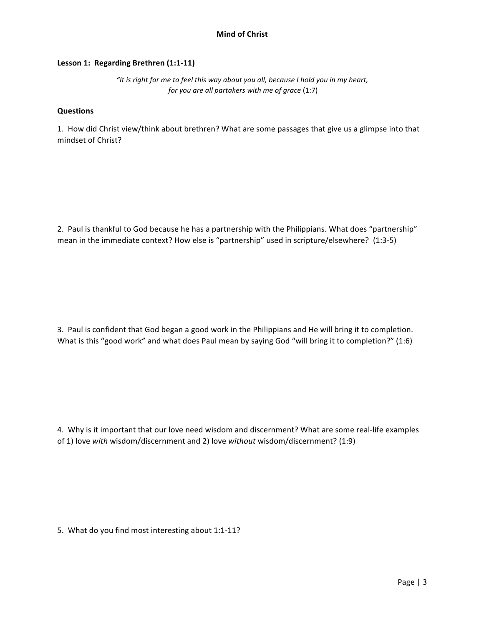# Lesson 1: Regarding Brethren (1:1-11)

"It is right for me to feel this way about you all, because I hold you in my heart, *for you are all partakers with me of grace* (1:7)

### **Questions**

1. How did Christ view/think about brethren? What are some passages that give us a glimpse into that mindset of Christ?

2. Paul is thankful to God because he has a partnership with the Philippians. What does "partnership" mean in the immediate context? How else is "partnership" used in scripture/elsewhere? (1:3-5)

3. Paul is confident that God began a good work in the Philippians and He will bring it to completion. What is this "good work" and what does Paul mean by saying God "will bring it to completion?" (1:6)

4. Why is it important that our love need wisdom and discernment? What are some real-life examples of 1) love with wisdom/discernment and 2) love without wisdom/discernment? (1:9)

5. What do you find most interesting about 1:1-11?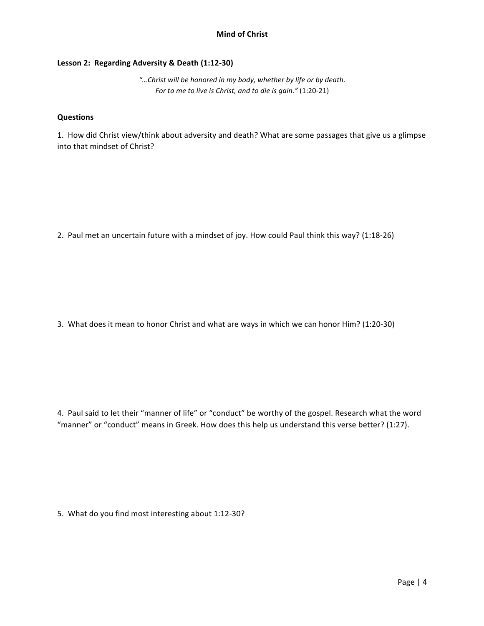# Lesson 2: Regarding Adversity & Death (1:12-30)

"...Christ will be honored in my body, whether by life or by death. *For to me to live is Christ, and to die is gain."* (1:20-21)

# **Questions**

1. How did Christ view/think about adversity and death? What are some passages that give us a glimpse into that mindset of Christ?

2. Paul met an uncertain future with a mindset of joy. How could Paul think this way? (1:18-26)

3. What does it mean to honor Christ and what are ways in which we can honor Him? (1:20-30)

4. Paul said to let their "manner of life" or "conduct" be worthy of the gospel. Research what the word "manner" or "conduct" means in Greek. How does this help us understand this verse better? (1:27).

5. What do you find most interesting about 1:12-30?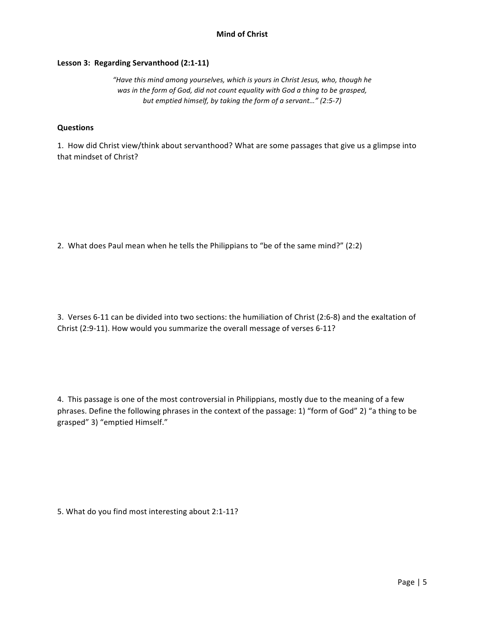# Lesson 3: Regarding Servanthood (2:1-11)

"Have this mind among yourselves, which is yours in Christ Jesus, who, though he was in the form of God, did not count equality with God a thing to be grasped, *but emptied himself, by taking the form of a servant..."* (2:5-7)

### **Questions**

1. How did Christ view/think about servanthood? What are some passages that give us a glimpse into that mindset of Christ?

2. What does Paul mean when he tells the Philippians to "be of the same mind?"  $(2:2)$ 

3. Verses 6-11 can be divided into two sections: the humiliation of Christ (2:6-8) and the exaltation of Christ (2:9-11). How would you summarize the overall message of verses 6-11?

4. This passage is one of the most controversial in Philippians, mostly due to the meaning of a few phrases. Define the following phrases in the context of the passage: 1) "form of God" 2) "a thing to be grasped" 3) "emptied Himself."

5. What do you find most interesting about 2:1-11?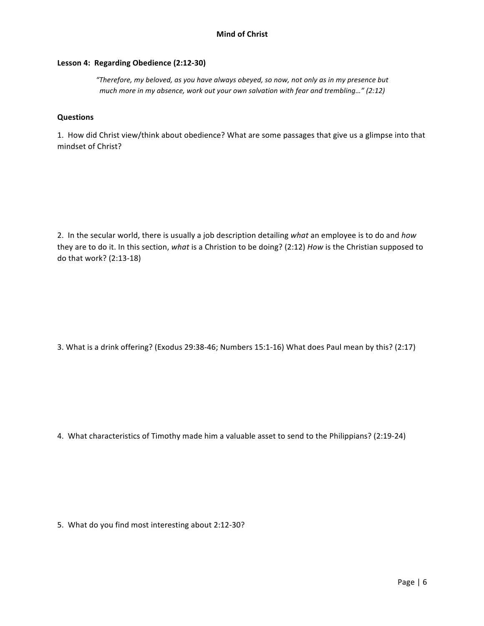# Lesson 4: Regarding Obedience (2:12-30)

"Therefore, my beloved, as you have always obeyed, so now, not only as in my presence but *much more in my absence, work out your own salvation with fear and trembling..."* (2:12)

# **Questions**

1. How did Christ view/think about obedience? What are some passages that give us a glimpse into that mindset of Christ?

2. In the secular world, there is usually a job description detailing what an employee is to do and how they are to do it. In this section, what is a Christion to be doing? (2:12) *How* is the Christian supposed to do that work? (2:13-18)

3. What is a drink offering? (Exodus 29:38-46; Numbers 15:1-16) What does Paul mean by this? (2:17)

4. What characteristics of Timothy made him a valuable asset to send to the Philippians? (2:19-24)

5. What do you find most interesting about 2:12-30?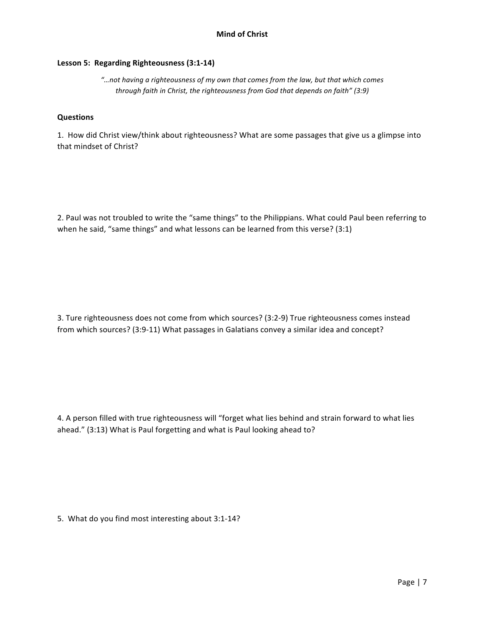# Lesson 5: Regarding Righteousness (3:1-14)

"...not having a righteousness of my own that comes from the law, but that which comes *through faith in Christ, the righteousness from God that depends on faith"* (3:9)

# **Questions**

1. How did Christ view/think about righteousness? What are some passages that give us a glimpse into that mindset of Christ?

2. Paul was not troubled to write the "same things" to the Philippians. What could Paul been referring to when he said, "same things" and what lessons can be learned from this verse?  $(3:1)$ 

3. Ture righteousness does not come from which sources? (3:2-9) True righteousness comes instead from which sources? (3:9-11) What passages in Galatians convey a similar idea and concept?

4. A person filled with true righteousness will "forget what lies behind and strain forward to what lies ahead." (3:13) What is Paul forgetting and what is Paul looking ahead to?

5. What do you find most interesting about 3:1-14?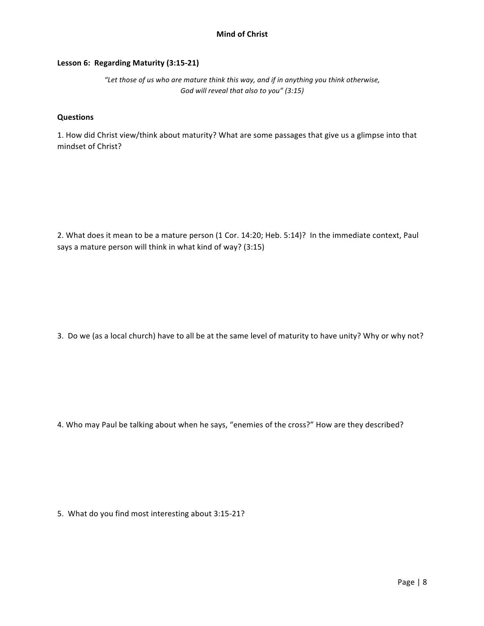# Lesson 6: Regarding Maturity (3:15-21)

"Let those of us who are mature think this way, and if in anything you think otherwise, God will reveal that also to you" (3:15)

# **Questions**

1. How did Christ view/think about maturity? What are some passages that give us a glimpse into that mindset of Christ?

2. What does it mean to be a mature person (1 Cor. 14:20; Heb. 5:14)? In the immediate context, Paul says a mature person will think in what kind of way? (3:15)

3. Do we (as a local church) have to all be at the same level of maturity to have unity? Why or why not?

4. Who may Paul be talking about when he says, "enemies of the cross?" How are they described?

5. What do you find most interesting about 3:15-21?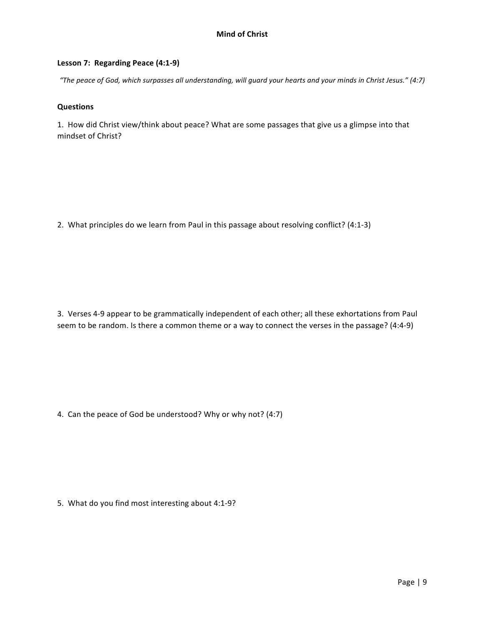# Lesson 7: Regarding Peace (4:1-9)

*"The peace of God, which surpasses all understanding, will guard your hearts and your minds in Christ Jesus." (4:7)*

### **Questions**

1. How did Christ view/think about peace? What are some passages that give us a glimpse into that mindset of Christ?

2. What principles do we learn from Paul in this passage about resolving conflict? (4:1-3)

3. Verses 4-9 appear to be grammatically independent of each other; all these exhortations from Paul seem to be random. Is there a common theme or a way to connect the verses in the passage? (4:4-9)

4. Can the peace of God be understood? Why or why not? (4:7)

5. What do you find most interesting about 4:1-9?